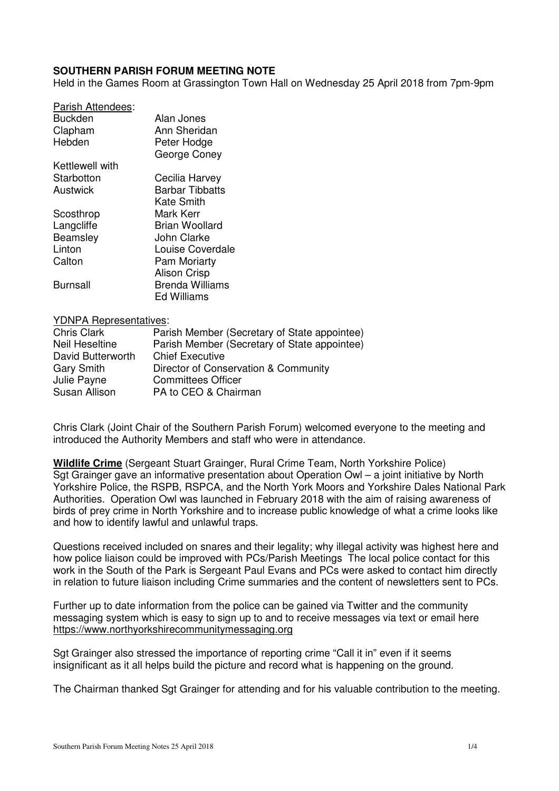# **SOUTHERN PARISH FORUM MEETING NOTE**

Held in the Games Room at Grassington Town Hall on Wednesday 25 April 2018 from 7pm-9pm

| Parish Attendees: |                        |
|-------------------|------------------------|
| Buckden           | Alan Jones             |
| Clapham           | Ann Sheridan           |
| Hebden            | Peter Hodge            |
|                   | George Coney           |
| Kettlewell with   |                        |
| Starbotton        | Cecilia Harvey         |
| Austwick          | <b>Barbar Tibbatts</b> |
|                   | Kate Smith             |
| Scosthrop         | Mark Kerr              |
| Langcliffe        | <b>Brian Woollard</b>  |
| Beamsley          | John Clarke            |
| Linton            | Louise Coverdale       |
| Calton            | <b>Pam Moriarty</b>    |
|                   | <b>Alison Crisp</b>    |
| Burnsall          | <b>Brenda Williams</b> |
|                   | <b>Ed Williams</b>     |
|                   |                        |

#### YDNPA Representatives:

| <b>Chris Clark</b> | Parish Member (Secretary of State appointee) |
|--------------------|----------------------------------------------|
| Neil Heseltine     | Parish Member (Secretary of State appointee) |
| David Butterworth  | <b>Chief Executive</b>                       |
| <b>Gary Smith</b>  | Director of Conservation & Community         |
| Julie Payne        | <b>Committees Officer</b>                    |
| Susan Allison      | PA to CEO & Chairman                         |

Chris Clark (Joint Chair of the Southern Parish Forum) welcomed everyone to the meeting and introduced the Authority Members and staff who were in attendance.

**Wildlife Crime** (Sergeant Stuart Grainger, Rural Crime Team, North Yorkshire Police) Sgt Grainger gave an informative presentation about Operation Owl – a joint initiative by North Yorkshire Police, the RSPB, RSPCA, and the North York Moors and Yorkshire Dales National Park Authorities. Operation Owl was launched in February 2018 with the aim of raising awareness of birds of prey crime in North Yorkshire and to increase public knowledge of what a crime looks like and how to identify lawful and unlawful traps.

Questions received included on snares and their legality; why illegal activity was highest here and how police liaison could be improved with PCs/Parish Meetings The local police contact for this work in the South of the Park is Sergeant Paul Evans and PCs were asked to contact him directly in relation to future liaison including Crime summaries and the content of newsletters sent to PCs.

Further up to date information from the police can be gained via Twitter and the community messaging system which is easy to sign up to and to receive messages via text or email here https://www.northyorkshirecommunitymessaging.org

Sgt Grainger also stressed the importance of reporting crime "Call it in" even if it seems insignificant as it all helps build the picture and record what is happening on the ground.

The Chairman thanked Sgt Grainger for attending and for his valuable contribution to the meeting.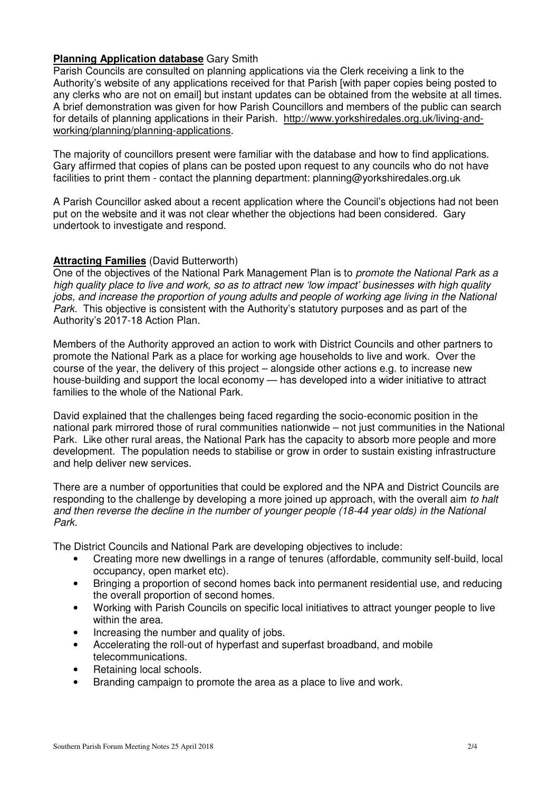# **Planning Application database** Gary Smith

Parish Councils are consulted on planning applications via the Clerk receiving a link to the Authority's website of any applications received for that Parish [with paper copies being posted to any clerks who are not on email] but instant updates can be obtained from the website at all times. A brief demonstration was given for how Parish Councillors and members of the public can search for details of planning applications in their Parish. http://www.yorkshiredales.org.uk/living-andworking/planning/planning-applications.

The majority of councillors present were familiar with the database and how to find applications. Gary affirmed that copies of plans can be posted upon request to any councils who do not have facilities to print them - contact the planning department: planning@yorkshiredales.org.uk

A Parish Councillor asked about a recent application where the Council's objections had not been put on the website and it was not clear whether the objections had been considered. Gary undertook to investigate and respond.

# **Attracting Families** (David Butterworth)

One of the objectives of the National Park Management Plan is to *promote the National Park as a* high quality place to live and work, so as to attract new 'low impact' businesses with high quality jobs, and increase the proportion of young adults and people of working age living in the National Park. This objective is consistent with the Authority's statutory purposes and as part of the Authority's 2017-18 Action Plan.

Members of the Authority approved an action to work with District Councils and other partners to promote the National Park as a place for working age households to live and work. Over the course of the year, the delivery of this project – alongside other actions e.g. to increase new house-building and support the local economy — has developed into a wider initiative to attract families to the whole of the National Park.

David explained that the challenges being faced regarding the socio-economic position in the national park mirrored those of rural communities nationwide – not just communities in the National Park. Like other rural areas, the National Park has the capacity to absorb more people and more development. The population needs to stabilise or grow in order to sustain existing infrastructure and help deliver new services.

There are a number of opportunities that could be explored and the NPA and District Councils are responding to the challenge by developing a more joined up approach, with the overall aim to halt and then reverse the decline in the number of younger people (18-44 year olds) in the National Park.

The District Councils and National Park are developing objectives to include:

- Creating more new dwellings in a range of tenures (affordable, community self-build, local occupancy, open market etc).
- Bringing a proportion of second homes back into permanent residential use, and reducing the overall proportion of second homes.
- Working with Parish Councils on specific local initiatives to attract younger people to live within the area.
- Increasing the number and quality of jobs.
- Accelerating the roll-out of hyperfast and superfast broadband, and mobile telecommunications.
- Retaining local schools.
- Branding campaign to promote the area as a place to live and work.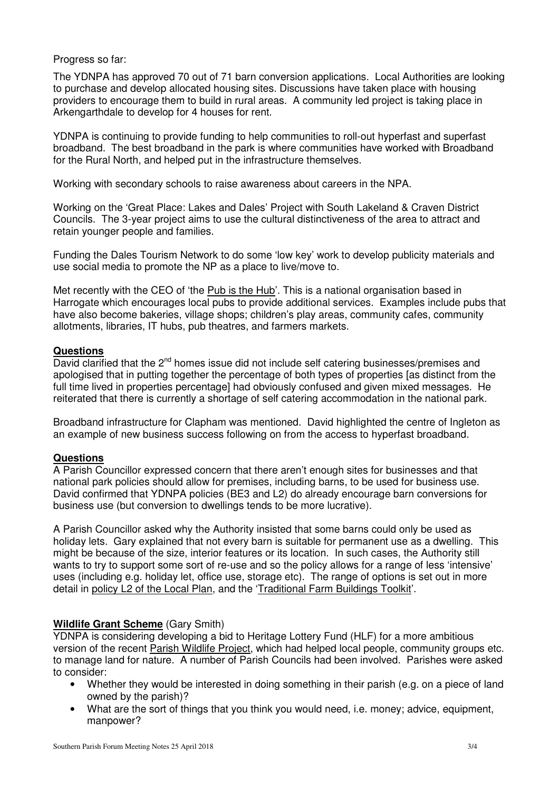# Progress so far:

The YDNPA has approved 70 out of 71 barn conversion applications. Local Authorities are looking to purchase and develop allocated housing sites. Discussions have taken place with housing providers to encourage them to build in rural areas. A community led project is taking place in Arkengarthdale to develop for 4 houses for rent.

YDNPA is continuing to provide funding to help communities to roll-out hyperfast and superfast broadband. The best broadband in the park is where communities have worked with Broadband for the Rural North, and helped put in the infrastructure themselves.

Working with secondary schools to raise awareness about careers in the NPA.

Working on the 'Great Place: Lakes and Dales' Project with South Lakeland & Craven District Councils. The 3-year project aims to use the cultural distinctiveness of the area to attract and retain younger people and families.

Funding the Dales Tourism Network to do some 'low key' work to develop publicity materials and use social media to promote the NP as a place to live/move to.

Met recently with the CEO of 'the Pub is the Hub'. This is a national organisation based in Harrogate which encourages local pubs to provide additional services. Examples include pubs that have also become bakeries, village shops; children's play areas, community cafes, community allotments, libraries, IT hubs, pub theatres, and farmers markets.

# **Questions**

David clarified that the 2<sup>nd</sup> homes issue did not include self catering businesses/premises and apologised that in putting together the percentage of both types of properties [as distinct from the full time lived in properties percentage] had obviously confused and given mixed messages. He reiterated that there is currently a shortage of self catering accommodation in the national park.

Broadband infrastructure for Clapham was mentioned. David highlighted the centre of Ingleton as an example of new business success following on from the access to hyperfast broadband.

# **Questions**

A Parish Councillor expressed concern that there aren't enough sites for businesses and that national park policies should allow for premises, including barns, to be used for business use. David confirmed that YDNPA policies (BE3 and L2) do already encourage barn conversions for business use (but conversion to dwellings tends to be more lucrative).

A Parish Councillor asked why the Authority insisted that some barns could only be used as holiday lets. Gary explained that not every barn is suitable for permanent use as a dwelling. This might be because of the size, interior features or its location. In such cases, the Authority still wants to try to support some sort of re-use and so the policy allows for a range of less 'intensive' uses (including e.g. holiday let, office use, storage etc). The range of options is set out in more detail in policy L2 of the Local Plan, and the 'Traditional Farm Buildings Toolkit'.

# **Wildlife Grant Scheme** (Gary Smith)

YDNPA is considering developing a bid to Heritage Lottery Fund (HLF) for a more ambitious version of the recent Parish Wildlife Project, which had helped local people, community groups etc. to manage land for nature. A number of Parish Councils had been involved. Parishes were asked to consider:

- Whether they would be interested in doing something in their parish (e.g. on a piece of land owned by the parish)?
- What are the sort of things that you think you would need, i.e. money; advice, equipment, manpower?